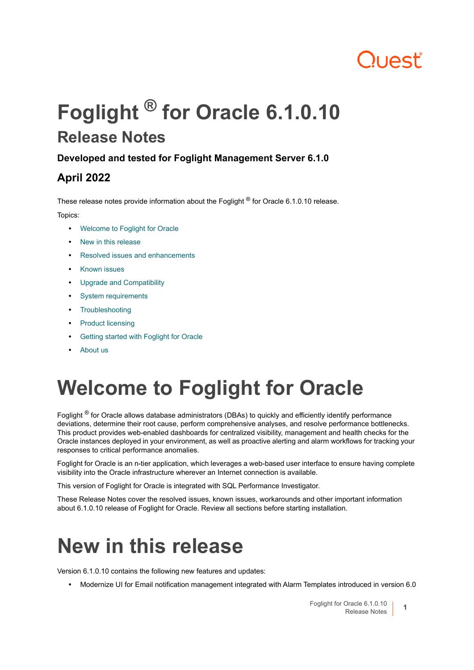# 11055

## **Foglight ® for Oracle 6.1.0.10 Release Notes**

#### **Developed and tested for Foglight Management Server 6.1.0**

#### **April 2022**

These release notes provide information about the Foglight ® for Oracle 6.1.0.10 release.

Topics:

- **•** [Welcome to Foglight for Oracle](#page-0-0)
- **•** [New in this release](#page-0-1)
- **•** [Resolved issues and enhancements](#page-1-0)
- **•** [Known issues](#page-2-0)
- **•** [Upgrade and Compatibility](#page-9-0)
- **•** [System requirements](#page-11-0)
- **•** [Troubleshooting](#page-13-0)
- **•** [Product licensing](#page-14-0)
- **•** [Getting started with Foglight for Oracle](#page-14-1)
- **•** [About us](#page-15-0)

# <span id="page-0-0"></span>**Welcome to Foglight for Oracle**

Foglight <sup>®</sup> for Oracle allows database administrators (DBAs) to quickly and efficiently identify performance deviations, determine their root cause, perform comprehensive analyses, and resolve performance bottlenecks. This product provides web-enabled dashboards for centralized visibility, management and health checks for the Oracle instances deployed in your environment, as well as proactive alerting and alarm workflows for tracking your responses to critical performance anomalies.

Foglight for Oracle is an n-tier application, which leverages a web-based user interface to ensure having complete visibility into the Oracle infrastructure wherever an Internet connection is available.

This version of Foglight for Oracle is integrated with SQL Performance Investigator.

These Release Notes cover the resolved issues, known issues, workarounds and other important information about 6.1.0.10 release of Foglight for Oracle. Review all sections before starting installation.

## <span id="page-0-1"></span>**New in this release**

Version 6.1.0.10 contains the following new features and updates:

**•** Modernize UI for Email notification management integrated with Alarm Templates introduced in version 6.0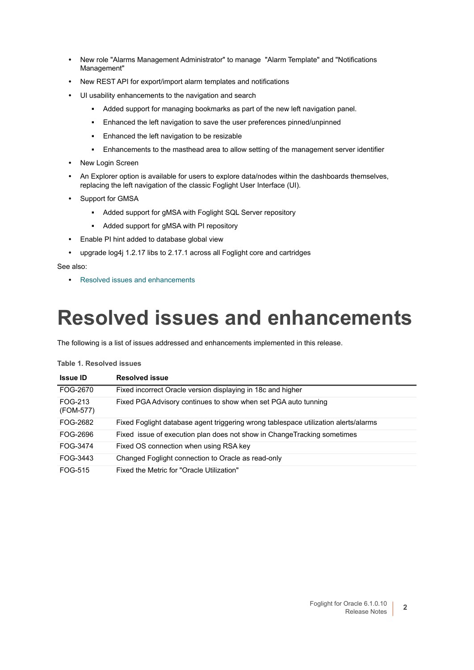- **•** New role "Alarms Management Administrator" to manage "Alarm Template" and "Notifications Management"
- **•** New REST API for export/import alarm templates and notifications
- **•** UI usability enhancements to the navigation and search
	- **▪** Added support for managing bookmarks as part of the new left navigation panel.
	- **▪** Enhanced the left navigation to save the user preferences pinned/unpinned
	- **▪** Enhanced the left navigation to be resizable
	- **▪** Enhancements to the masthead area to allow setting of the management server identifier
- **•** New Login Screen
- **•** An Explorer option is available for users to explore data/nodes within the dashboards themselves, replacing the left navigation of the classic Foglight User Interface (UI).
- **•** Support for GMSA
	- **▪** Added support for gMSA with Foglight SQL Server repository
	- **▪** Added support for gMSA with PI repository
- **•** Enable PI hint added to database global view
- **•** upgrade log4j 1.2.17 libs to 2.17.1 across all Foglight core and cartridges

See also:

**•** [Resolved issues and enhancements](#page-1-0)

## <span id="page-1-0"></span>**Resolved issues and enhancements**

The following is a list of issues addressed and enhancements implemented in this release.

**Table 1. Resolved issues**

| <b>Issue ID</b>      | <b>Resolved issue</b>                                                               |
|----------------------|-------------------------------------------------------------------------------------|
| FOG-2670             | Fixed incorrect Oracle version displaying in 18c and higher                         |
| FOG-213<br>(FOM-577) | Fixed PGA Advisory continues to show when set PGA auto tunning                      |
| FOG-2682             | Fixed Foglight database agent triggering wrong tablespace utilization alerts/alarms |
| FOG-2696             | Fixed issue of execution plan does not show in Change Tracking sometimes            |
| FOG-3474             | Fixed OS connection when using RSA key                                              |
| FOG-3443             | Changed Foglight connection to Oracle as read-only                                  |
| FOG-515              | Fixed the Metric for "Oracle Utilization"                                           |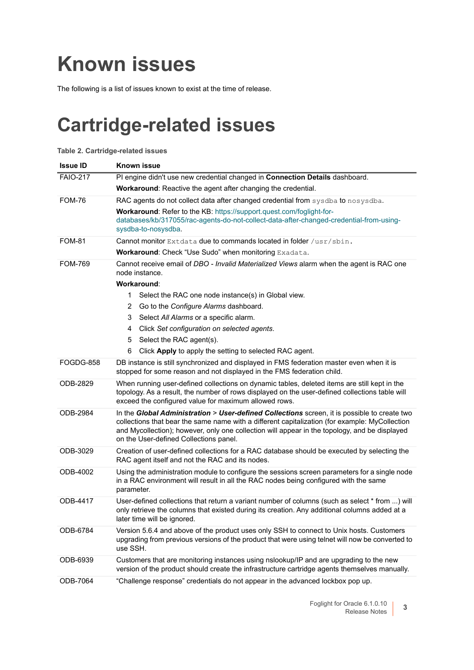## <span id="page-2-0"></span>**Known issues**

The following is a list of issues known to exist at the time of release.

### **Cartridge-related issues**

| <b>Issue ID</b>  | <b>Known issue</b>                                                                                                                                                                                                                                                                                                                        |  |  |
|------------------|-------------------------------------------------------------------------------------------------------------------------------------------------------------------------------------------------------------------------------------------------------------------------------------------------------------------------------------------|--|--|
| <b>FAIO-217</b>  | PI engine didn't use new credential changed in Connection Details dashboard.                                                                                                                                                                                                                                                              |  |  |
|                  | Workaround: Reactive the agent after changing the credential.                                                                                                                                                                                                                                                                             |  |  |
| <b>FOM-76</b>    | RAC agents do not collect data after changed credential from sysdba to nosysdba.                                                                                                                                                                                                                                                          |  |  |
|                  | Workaround: Refer to the KB: https://support.quest.com/foglight-for-<br>databases/kb/317055/rac-agents-do-not-collect-data-after-changed-credential-from-using-<br>sysdba-to-nosysdba.                                                                                                                                                    |  |  |
| <b>FOM-81</b>    | Cannot monitor Extdata due to commands located in folder /usr/sbin.                                                                                                                                                                                                                                                                       |  |  |
|                  | Workaround: Check "Use Sudo" when monitoring Exadata.                                                                                                                                                                                                                                                                                     |  |  |
| <b>FOM-769</b>   | Cannot receive email of DBO - Invalid Materialized Views alarm when the agent is RAC one<br>node instance.                                                                                                                                                                                                                                |  |  |
|                  | Workaround:                                                                                                                                                                                                                                                                                                                               |  |  |
|                  | 1.<br>Select the RAC one node instance(s) in Global view.                                                                                                                                                                                                                                                                                 |  |  |
|                  | Go to the Configure Alarms dashboard.<br>2                                                                                                                                                                                                                                                                                                |  |  |
|                  | Select All Alarms or a specific alarm.<br>3                                                                                                                                                                                                                                                                                               |  |  |
|                  | Click Set configuration on selected agents.<br>4                                                                                                                                                                                                                                                                                          |  |  |
|                  | Select the RAC agent(s).<br>5                                                                                                                                                                                                                                                                                                             |  |  |
|                  | Click Apply to apply the setting to selected RAC agent.<br>6                                                                                                                                                                                                                                                                              |  |  |
| <b>FOGDG-858</b> | DB instance is still synchronized and displayed in FMS federation master even when it is<br>stopped for some reason and not displayed in the FMS federation child.                                                                                                                                                                        |  |  |
| ODB-2829         | When running user-defined collections on dynamic tables, deleted items are still kept in the<br>topology. As a result, the number of rows displayed on the user-defined collections table will<br>exceed the configured value for maximum allowed rows.                                                                                   |  |  |
| ODB-2984         | In the Global Administration > User-defined Collections screen, it is possible to create two<br>collections that bear the same name with a different capitalization (for example: MyCollection<br>and Mycollection); however, only one collection will appear in the topology, and be displayed<br>on the User-defined Collections panel. |  |  |
| ODB-3029         | Creation of user-defined collections for a RAC database should be executed by selecting the<br>RAC agent itself and not the RAC and its nodes.                                                                                                                                                                                            |  |  |
| ODB-4002         | Using the administration module to configure the sessions screen parameters for a single node<br>in a RAC environment will result in all the RAC nodes being configured with the same<br>parameter.                                                                                                                                       |  |  |
| ODB-4417         | User-defined collections that return a variant number of columns (such as select * from ) will<br>only retrieve the columns that existed during its creation. Any additional columns added at a<br>later time will be ignored.                                                                                                            |  |  |
| ODB-6784         | Version 5.6.4 and above of the product uses only SSH to connect to Unix hosts. Customers<br>upgrading from previous versions of the product that were using telnet will now be converted to<br>use SSH.                                                                                                                                   |  |  |
| ODB-6939         | Customers that are monitoring instances using nslookup/IP and are upgrading to the new<br>version of the product should create the infrastructure cartridge agents themselves manually.                                                                                                                                                   |  |  |
| ODB-7064         | "Challenge response" credentials do not appear in the advanced lockbox pop up.                                                                                                                                                                                                                                                            |  |  |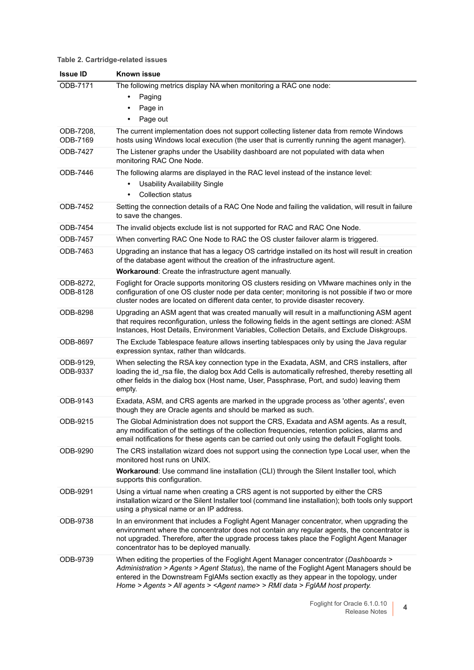| <b>Issue ID</b>       | <b>Known issue</b>                                                                                                                                                                                                                                                                                                                                            |
|-----------------------|---------------------------------------------------------------------------------------------------------------------------------------------------------------------------------------------------------------------------------------------------------------------------------------------------------------------------------------------------------------|
| ODB-7171              | The following metrics display NA when monitoring a RAC one node:                                                                                                                                                                                                                                                                                              |
|                       | Paging                                                                                                                                                                                                                                                                                                                                                        |
|                       | Page in<br>$\bullet$                                                                                                                                                                                                                                                                                                                                          |
|                       | Page out                                                                                                                                                                                                                                                                                                                                                      |
| ODB-7208,<br>ODB-7169 | The current implementation does not support collecting listener data from remote Windows<br>hosts using Windows local execution (the user that is currently running the agent manager).                                                                                                                                                                       |
| ODB-7427              | The Listener graphs under the Usability dashboard are not populated with data when<br>monitoring RAC One Node.                                                                                                                                                                                                                                                |
| ODB-7446              | The following alarms are displayed in the RAC level instead of the instance level:<br><b>Usability Availability Single</b><br>$\bullet$<br><b>Collection status</b><br>$\bullet$                                                                                                                                                                              |
| ODB-7452              | Setting the connection details of a RAC One Node and failing the validation, will result in failure<br>to save the changes.                                                                                                                                                                                                                                   |
| ODB-7454              | The invalid objects exclude list is not supported for RAC and RAC One Node.                                                                                                                                                                                                                                                                                   |
| ODB-7457              | When converting RAC One Node to RAC the OS cluster failover alarm is triggered.                                                                                                                                                                                                                                                                               |
| ODB-7463              | Upgrading an instance that has a legacy OS cartridge installed on its host will result in creation<br>of the database agent without the creation of the infrastructure agent.<br>Workaround: Create the infrastructure agent manually.                                                                                                                        |
| ODB-8272,             | Foglight for Oracle supports monitoring OS clusters residing on VMware machines only in the                                                                                                                                                                                                                                                                   |
| ODB-8128              | configuration of one OS cluster node per data center; monitoring is not possible if two or more<br>cluster nodes are located on different data center, to provide disaster recovery.                                                                                                                                                                          |
| ODB-8298              | Upgrading an ASM agent that was created manually will result in a malfunctioning ASM agent<br>that requires reconfiguration, unless the following fields in the agent settings are cloned: ASM<br>Instances, Host Details, Environment Variables, Collection Details, and Exclude Diskgroups.                                                                 |
| ODB-8697              | The Exclude Tablespace feature allows inserting tablespaces only by using the Java regular<br>expression syntax, rather than wildcards.                                                                                                                                                                                                                       |
| ODB-9129,<br>ODB-9337 | When selecting the RSA key connection type in the Exadata, ASM, and CRS installers, after<br>loading the id_rsa file, the dialog box Add Cells is automatically refreshed, thereby resetting all<br>other fields in the dialog box (Host name, User, Passphrase, Port, and sudo) leaving them<br>empty.                                                       |
| ODB-9143              | Exadata, ASM, and CRS agents are marked in the upgrade process as 'other agents', even<br>though they are Oracle agents and should be marked as such.                                                                                                                                                                                                         |
| ODB-9215              | The Global Administration does not support the CRS, Exadata and ASM agents. As a result,<br>any modification of the settings of the collection frequencies, retention policies, alarms and<br>email notifications for these agents can be carried out only using the default Foglight tools.                                                                  |
| ODB-9290              | The CRS installation wizard does not support using the connection type Local user, when the<br>monitored host runs on UNIX.                                                                                                                                                                                                                                   |
|                       | Workaround: Use command line installation (CLI) through the Silent Installer tool, which<br>supports this configuration.                                                                                                                                                                                                                                      |
| ODB-9291              | Using a virtual name when creating a CRS agent is not supported by either the CRS<br>installation wizard or the Silent Installer tool (command line installation); both tools only support<br>using a physical name or an IP address.                                                                                                                         |
| ODB-9738              | In an environment that includes a Foglight Agent Manager concentrator, when upgrading the<br>environment where the concentrator does not contain any regular agents, the concentrator is<br>not upgraded. Therefore, after the upgrade process takes place the Foglight Agent Manager<br>concentrator has to be deployed manually.                            |
| ODB-9739              | When editing the properties of the Foglight Agent Manager concentrator (Dashboards ><br>Administration > Agents > Agent Status), the name of the Foglight Agent Managers should be<br>entered in the Downstream FgIAMs section exactly as they appear in the topology, under<br>Home > Agents > All agents > < Agent name > > RMI data > FgIAM host property. |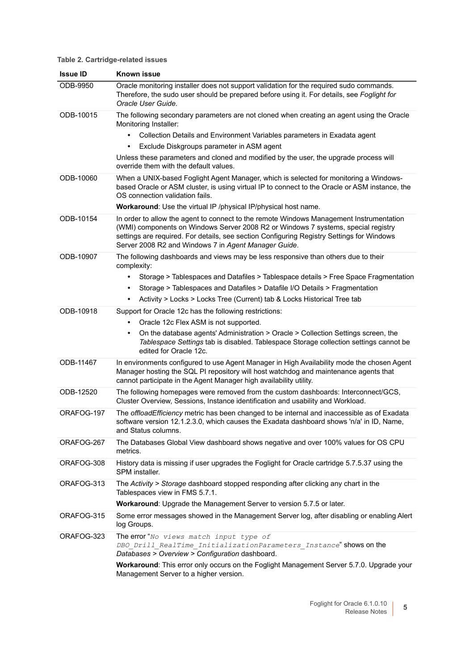| <b>Issue ID</b> | <b>Known issue</b>                                                                                                                                                                                                                                                                                                                |
|-----------------|-----------------------------------------------------------------------------------------------------------------------------------------------------------------------------------------------------------------------------------------------------------------------------------------------------------------------------------|
| ODB-9950        | Oracle monitoring installer does not support validation for the required sudo commands.<br>Therefore, the sudo user should be prepared before using it. For details, see Foglight for<br>Oracle User Guide.                                                                                                                       |
| ODB-10015       | The following secondary parameters are not cloned when creating an agent using the Oracle<br>Monitoring Installer:                                                                                                                                                                                                                |
|                 | Collection Details and Environment Variables parameters in Exadata agent<br>$\bullet$                                                                                                                                                                                                                                             |
|                 | Exclude Diskgroups parameter in ASM agent                                                                                                                                                                                                                                                                                         |
|                 | Unless these parameters and cloned and modified by the user, the upgrade process will<br>override them with the default values.                                                                                                                                                                                                   |
| ODB-10060       | When a UNIX-based Foglight Agent Manager, which is selected for monitoring a Windows-<br>based Oracle or ASM cluster, is using virtual IP to connect to the Oracle or ASM instance, the<br>OS connection validation fails.                                                                                                        |
|                 | Workaround: Use the virtual IP /physical IP/physical host name.                                                                                                                                                                                                                                                                   |
| ODB-10154       | In order to allow the agent to connect to the remote Windows Management Instrumentation<br>(WMI) components on Windows Server 2008 R2 or Windows 7 systems, special registry<br>settings are required. For details, see section Configuring Registry Settings for Windows<br>Server 2008 R2 and Windows 7 in Agent Manager Guide. |
| ODB-10907       | The following dashboards and views may be less responsive than others due to their<br>complexity:                                                                                                                                                                                                                                 |
|                 | Storage > Tablespaces and Datafiles > Tablespace details > Free Space Fragmentation<br>$\bullet$                                                                                                                                                                                                                                  |
|                 | Storage > Tablespaces and Datafiles > Datafile I/O Details > Fragmentation<br>٠                                                                                                                                                                                                                                                   |
|                 | Activity > Locks > Locks Tree (Current) tab & Locks Historical Tree tab<br>٠                                                                                                                                                                                                                                                      |
| ODB-10918       | Support for Oracle 12c has the following restrictions:                                                                                                                                                                                                                                                                            |
|                 | Oracle 12c Flex ASM is not supported.                                                                                                                                                                                                                                                                                             |
|                 | On the database agents' Administration > Oracle > Collection Settings screen, the<br>٠<br>Tablespace Settings tab is disabled. Tablespace Storage collection settings cannot be<br>edited for Oracle 12c.                                                                                                                         |
| ODB-11467       | In environments configured to use Agent Manager in High Availability mode the chosen Agent<br>Manager hosting the SQL PI repository will host watchdog and maintenance agents that<br>cannot participate in the Agent Manager high availability utility.                                                                          |
| ODB-12520       | The following homepages were removed from the custom dashboards: Interconnect/GCS,<br>Cluster Overview, Sessions, Instance identification and usability and Workload.                                                                                                                                                             |
| ORAFOG-197      | The offloadEfficiency metric has been changed to be internal and inaccessible as of Exadata<br>software version 12.1.2.3.0, which causes the Exadata dashboard shows 'n/a' in ID, Name,<br>and Status columns.                                                                                                                    |
| ORAFOG-267      | The Databases Global View dashboard shows negative and over 100% values for OS CPU<br>metrics.                                                                                                                                                                                                                                    |
| ORAFOG-308      | History data is missing if user upgrades the Foglight for Oracle cartridge 5.7.5.37 using the<br>SPM installer.                                                                                                                                                                                                                   |
| ORAFOG-313      | The Activity > Storage dashboard stopped responding after clicking any chart in the<br>Tablespaces view in FMS 5.7.1.                                                                                                                                                                                                             |
|                 | Workaround: Upgrade the Management Server to version 5.7.5 or later.                                                                                                                                                                                                                                                              |
| ORAFOG-315      | Some error messages showed in the Management Server log, after disabling or enabling Alert<br>log Groups.                                                                                                                                                                                                                         |
| ORAFOG-323      | The error "No views match input type of<br>DBO Drill RealTime InitializationParameters Instance" shows on the<br>Databases > Overview > Configuration dashboard.                                                                                                                                                                  |
|                 | Workaround: This error only occurs on the Foglight Management Server 5.7.0. Upgrade your<br>Management Server to a higher version.                                                                                                                                                                                                |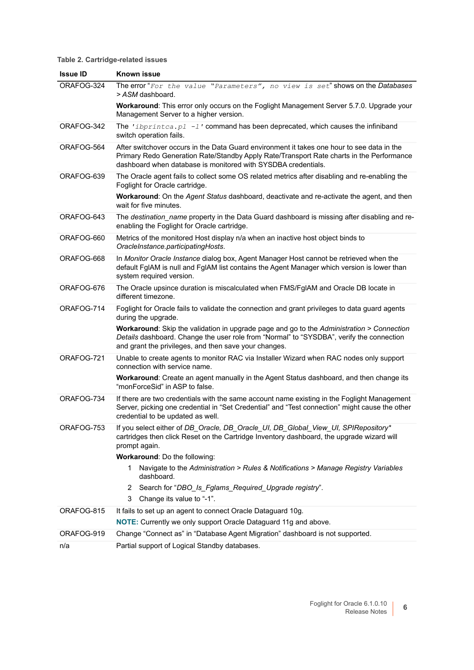| <b>Issue ID</b> | Known issue                                                                                                                                                                                                                                             |
|-----------------|---------------------------------------------------------------------------------------------------------------------------------------------------------------------------------------------------------------------------------------------------------|
| ORAFOG-324      | The error "For the value "Parameters", no view is set" shows on the Databases<br>> ASM dashboard.                                                                                                                                                       |
|                 | Workaround: This error only occurs on the Foglight Management Server 5.7.0. Upgrade your<br>Management Server to a higher version.                                                                                                                      |
| ORAFOG-342      | The $'ibprintca$ . $p1 - 1$ ' command has been deprecated, which causes the infiniband<br>switch operation fails.                                                                                                                                       |
| ORAFOG-564      | After switchover occurs in the Data Guard environment it takes one hour to see data in the<br>Primary Redo Generation Rate/Standby Apply Rate/Transport Rate charts in the Performance<br>dashboard when database is monitored with SYSDBA credentials. |
| ORAFOG-639      | The Oracle agent fails to collect some OS related metrics after disabling and re-enabling the<br>Foglight for Oracle cartridge.                                                                                                                         |
|                 | Workaround: On the Agent Status dashboard, deactivate and re-activate the agent, and then<br>wait for five minutes.                                                                                                                                     |
| ORAFOG-643      | The destination_name property in the Data Guard dashboard is missing after disabling and re-<br>enabling the Foglight for Oracle cartridge.                                                                                                             |
| ORAFOG-660      | Metrics of the monitored Host display n/a when an inactive host object binds to<br>OracleInstance.participatingHosts.                                                                                                                                   |
| ORAFOG-668      | In Monitor Oracle Instance dialog box, Agent Manager Host cannot be retrieved when the<br>default FgIAM is null and FgIAM list contains the Agent Manager which version is lower than<br>system required version.                                       |
| ORAFOG-676      | The Oracle upsince duration is miscalculated when FMS/FgIAM and Oracle DB locate in<br>different timezone.                                                                                                                                              |
| ORAFOG-714      | Foglight for Oracle fails to validate the connection and grant privileges to data guard agents<br>during the upgrade.                                                                                                                                   |
|                 | Workaround: Skip the validation in upgrade page and go to the Administration > Connection<br>Details dashboard. Change the user role from "Normal" to "SYSDBA", verify the connection<br>and grant the privileges, and then save your changes.          |
| ORAFOG-721      | Unable to create agents to monitor RAC via Installer Wizard when RAC nodes only support<br>connection with service name.                                                                                                                                |
|                 | Workaround: Create an agent manually in the Agent Status dashboard, and then change its<br>"monForceSid" in ASP to false.                                                                                                                               |
| ORAFOG-734      | If there are two credentials with the same account name existing in the Foglight Management<br>Server, picking one credential in "Set Credential" and "Test connection" might cause the other<br>credential to be updated as well.                      |
| ORAFOG-753      | If you select either of DB_Oracle, DB_Oracle_UI, DB_Global_View_UI, SPIRepository*<br>cartridges then click Reset on the Cartridge Inventory dashboard, the upgrade wizard will<br>prompt again.                                                        |
|                 | Workaround: Do the following:                                                                                                                                                                                                                           |
|                 | Navigate to the Administration > Rules & Notifications > Manage Registry Variables<br>1<br>dashboard.                                                                                                                                                   |
|                 | Search for "DBO_Is_Fglams_Required_Upgrade registry".<br>2<br>Change its value to "-1".<br>3                                                                                                                                                            |
| ORAFOG-815      | It fails to set up an agent to connect Oracle Dataguard 10g.                                                                                                                                                                                            |
|                 | <b>NOTE:</b> Currently we only support Oracle Dataguard 11g and above.                                                                                                                                                                                  |
| ORAFOG-919      | Change "Connect as" in "Database Agent Migration" dashboard is not supported.                                                                                                                                                                           |
| n/a             | Partial support of Logical Standby databases.                                                                                                                                                                                                           |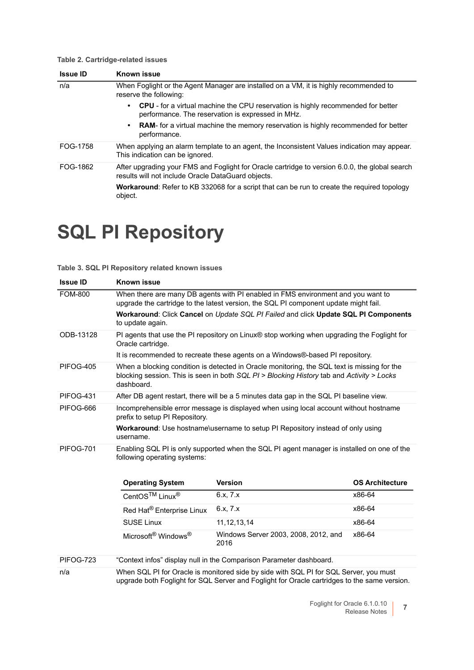| <b>Issue ID</b> | <b>Known issue</b>                                                                                                                                        |
|-----------------|-----------------------------------------------------------------------------------------------------------------------------------------------------------|
| n/a             | When Foglight or the Agent Manager are installed on a VM, it is highly recommended to<br>reserve the following:                                           |
|                 | <b>CPU</b> - for a virtual machine the CPU reservation is highly recommended for better<br>$\bullet$<br>performance. The reservation is expressed in MHz. |
|                 | <b>RAM-</b> for a virtual machine the memory reservation is highly recommended for better<br>$\bullet$<br>performance.                                    |
| FOG-1758        | When applying an alarm template to an agent, the Inconsistent Values indication may appear.<br>This indication can be ignored.                            |
| FOG-1862        | After upgrading your FMS and Foglight for Oracle cartridge to version 6.0.0, the global search<br>results will not include Oracle DataGuard objects.      |
|                 | <b>Workaround:</b> Refer to KB 332068 for a script that can be run to create the required topology<br>object.                                             |

### **SQL PI Repository**

|  | Table 3. SQL PI Repository related known issues |  |  |  |
|--|-------------------------------------------------|--|--|--|
|--|-------------------------------------------------|--|--|--|

| <b>Issue ID</b>  | <b>Known issue</b>                                                                                                                                                       |                                                                                                                                                                                          |                        |
|------------------|--------------------------------------------------------------------------------------------------------------------------------------------------------------------------|------------------------------------------------------------------------------------------------------------------------------------------------------------------------------------------|------------------------|
| <b>FOM-800</b>   | When there are many DB agents with PI enabled in FMS environment and you want to<br>upgrade the cartridge to the latest version, the SQL PI component update might fail. |                                                                                                                                                                                          |                        |
|                  | to update again.                                                                                                                                                         | Workaround: Click Cancel on Update SQL PI Failed and click Update SQL PI Components                                                                                                      |                        |
| ODB-13128        | Oracle cartridge.                                                                                                                                                        | PI agents that use the PI repository on Linux® stop working when upgrading the Foglight for                                                                                              |                        |
|                  |                                                                                                                                                                          | It is recommended to recreate these agents on a Windows®-based PI repository.                                                                                                            |                        |
| PIFOG-405        | dashboard.                                                                                                                                                               | When a blocking condition is detected in Oracle monitoring, the SQL text is missing for the<br>blocking session. This is seen in both SQL PI > Blocking History tab and Activity > Locks |                        |
| PIFOG-431        |                                                                                                                                                                          | After DB agent restart, there will be a 5 minutes data gap in the SQL PI baseline view.                                                                                                  |                        |
| PIFOG-666        | Incomprehensible error message is displayed when using local account without hostname<br>prefix to setup PI Repository.                                                  |                                                                                                                                                                                          |                        |
|                  | username.                                                                                                                                                                | Workaround: Use hostname\username to setup PI Repository instead of only using                                                                                                           |                        |
| <b>PIFOG-701</b> | Enabling SQL PI is only supported when the SQL PI agent manager is installed on one of the<br>following operating systems:                                               |                                                                                                                                                                                          |                        |
|                  | <b>Operating System</b>                                                                                                                                                  | <b>Version</b>                                                                                                                                                                           | <b>OS Architecture</b> |
|                  | CentOSTM Linux <sup>®</sup>                                                                                                                                              | 6.x, 7.x                                                                                                                                                                                 | x86-64                 |
|                  | Red Hat® Enterprise Linux                                                                                                                                                | 6.x, 7.x                                                                                                                                                                                 | x86-64                 |
|                  | <b>SUSE Linux</b>                                                                                                                                                        | 11, 12, 13, 14                                                                                                                                                                           | x86-64                 |
|                  | Microsoft <sup>®</sup> Windows <sup>®</sup>                                                                                                                              | Windows Server 2003, 2008, 2012, and<br>2016                                                                                                                                             | x86-64                 |
| <b>PIFOG-723</b> |                                                                                                                                                                          | "Context infos" display null in the Comparison Parameter dashboard.                                                                                                                      |                        |
| n/a              |                                                                                                                                                                          | When SQL PI for Oracle is monitored side by side with SQL PI for SQL Server, you must<br>upgrade both Foglight for SQL Server and Foglight for Oracle cartridges to the same version.    |                        |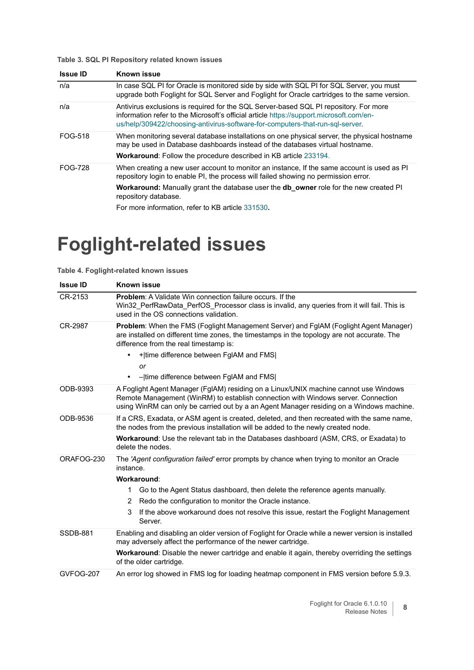#### **Table 3. SQL PI Repository related known issues**

| <b>Issue ID</b> | <b>Known issue</b>                                                                                                                                                                                                                                                |
|-----------------|-------------------------------------------------------------------------------------------------------------------------------------------------------------------------------------------------------------------------------------------------------------------|
| n/a             | In case SQL PI for Oracle is monitored side by side with SQL PI for SQL Server, you must<br>upgrade both Foglight for SQL Server and Foglight for Oracle cartridges to the same version.                                                                          |
| n/a             | Antivirus exclusions is required for the SQL Server-based SQL PI repository. For more<br>information refer to the Microsoft's official article https://support.microsoft.com/en-<br>us/help/309422/choosing-antivirus-software-for-computers-that-run-sql-server. |
| FOG-518         | When monitoring several database installations on one physical server, the physical hostname<br>may be used in Database dashboards instead of the databases virtual hostname.<br><b>Workaround:</b> Follow the procedure described in KB article 233194.          |
| FOG-728         | When creating a new user account to monitor an instance. If the same account is used as PI<br>repository login to enable PI, the process will failed showing no permission error.                                                                                 |
|                 | <b>Workaround:</b> Manually grant the database user the <b>db_owner</b> role for the new created PI<br>repository database.                                                                                                                                       |
|                 | For more information, refer to KB article 331530.                                                                                                                                                                                                                 |

### **Foglight-related issues**

|  | Table 4. Foglight-related known issues |  |  |
|--|----------------------------------------|--|--|
|--|----------------------------------------|--|--|

| <b>Issue ID</b> | <b>Known issue</b>                                                                                                                                                                                                                                                                                                                                                                          |
|-----------------|---------------------------------------------------------------------------------------------------------------------------------------------------------------------------------------------------------------------------------------------------------------------------------------------------------------------------------------------------------------------------------------------|
| CR-2153         | <b>Problem:</b> A Validate Win connection failure occurs. If the<br>Win32 PerfRawData PerfOS Processor class is invalid, any queries from it will fail. This is<br>used in the OS connections validation.                                                                                                                                                                                   |
| CR-2987         | <b>Problem:</b> When the FMS (Foglight Management Server) and FgIAM (Foglight Agent Manager)<br>are installed on different time zones, the timestamps in the topology are not accurate. The<br>difference from the real timestamp is:<br>+ time difference between FgIAM and FMS <br>or<br>-Itime difference between FgIAM and FMS                                                          |
| ODB-9393        | A Foglight Agent Manager (FgIAM) residing on a Linux/UNIX machine cannot use Windows<br>Remote Management (WinRM) to establish connection with Windows server. Connection<br>using WinRM can only be carried out by a an Agent Manager residing on a Windows machine.                                                                                                                       |
| ODB-9536        | If a CRS, Exadata, or ASM agent is created, deleted, and then recreated with the same name,<br>the nodes from the previous installation will be added to the newly created node.<br>Workaround: Use the relevant tab in the Databases dashboard (ASM, CRS, or Exadata) to<br>delete the nodes.                                                                                              |
| ORAFOG-230      | The 'Agent configuration failed' error prompts by chance when trying to monitor an Oracle<br>instance.<br>Workaround:<br>Go to the Agent Status dashboard, then delete the reference agents manually.<br>$\mathbf 1$<br>Redo the configuration to monitor the Oracle instance.<br>2<br>3<br>If the above workaround does not resolve this issue, restart the Foglight Management<br>Server. |
| <b>SSDB-881</b> | Enabling and disabling an older version of Foglight for Oracle while a newer version is installed<br>may adversely affect the performance of the newer cartridge.<br><b>Workaround:</b> Disable the newer cartridge and enable it again, thereby overriding the settings<br>of the older cartridge.                                                                                         |
| GVFOG-207       | An error log showed in FMS log for loading heatmap component in FMS version before 5.9.3.                                                                                                                                                                                                                                                                                                   |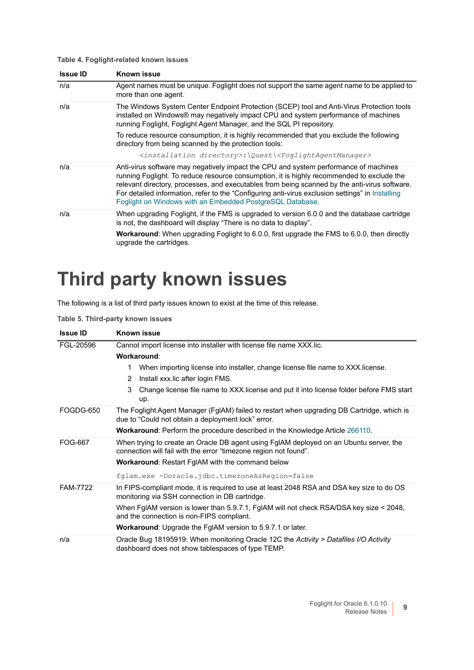#### **Table 4. Foglight-related known issues**

| <b>Issue ID</b> | <b>Known issue</b>                                                                                                                                                                                                                                                                                                                                                                                                                                  |
|-----------------|-----------------------------------------------------------------------------------------------------------------------------------------------------------------------------------------------------------------------------------------------------------------------------------------------------------------------------------------------------------------------------------------------------------------------------------------------------|
| n/a             | Agent names must be unique. Foglight does not support the same agent name to be applied to<br>more than one agent.                                                                                                                                                                                                                                                                                                                                  |
| n/a             | The Windows System Center Endpoint Protection (SCEP) tool and Anti-Virus Protection tools<br>installed on Windows® may negatively impact CPU and system performance of machines<br>running Foglight, Foglight Agent Manager, and the SQL PI repository.                                                                                                                                                                                             |
|                 | To reduce resource consumption, it is highly recommended that you exclude the following<br>directory from being scanned by the protection tools:                                                                                                                                                                                                                                                                                                    |
|                 | <installation directory="">:\Quest\<foqlightagentmanager></foqlightagentmanager></installation>                                                                                                                                                                                                                                                                                                                                                     |
| n/a             | Anti-virus software may negatively impact the CPU and system performance of machines<br>running Foglight. To reduce resource consumption, it is highly recommended to exclude the<br>relevant directory, processes, and executables from being scanned by the anti-virus software.<br>For detailed information, refer to the "Configuring anti-virus exclusion settings" in Installing<br>Foglight on Windows with an Embedded PostgreSQL Database. |
| n/a             | When upgrading Foglight, if the FMS is upgraded to version 6.0.0 and the database cartridge<br>is not, the dashboard will display "There is no data to display".<br><b>Workaround:</b> When upgrading Foglight to 6.0.0, first upgrade the FMS to 6.0.0, then directly<br>upgrade the cartridges.                                                                                                                                                   |

### **Third party known issues**

The following is a list of third party issues known to exist at the time of this release.

| Table 5. Third-party known issues |  |  |  |  |
|-----------------------------------|--|--|--|--|
|-----------------------------------|--|--|--|--|

| <b>Issue ID</b> | Known issue                                                                                                                                                |  |  |  |
|-----------------|------------------------------------------------------------------------------------------------------------------------------------------------------------|--|--|--|
| FGL-20596       | Cannot import license into installer with license file name XXX.lic.                                                                                       |  |  |  |
|                 | Workaround:                                                                                                                                                |  |  |  |
|                 | When importing license into installer, change license file name to XXX.license.<br>1.                                                                      |  |  |  |
|                 | Install xxx.lic after login FMS.<br>2                                                                                                                      |  |  |  |
|                 | Change license file name to XXX license and put it into license folder before FMS start<br>3<br>up.                                                        |  |  |  |
| FOGDG-650       | The Foglight Agent Manager (FgIAM) failed to restart when upgrading DB Cartridge, which is<br>due to "Could not obtain a deployment lock" error.           |  |  |  |
|                 | <b>Workaround:</b> Perform the procedure described in the Knowledge Article 266110.                                                                        |  |  |  |
| FOG-667         | When trying to create an Oracle DB agent using FgIAM deployed on an Ubuntu server, the<br>connection will fail with the error "timezone region not found". |  |  |  |
|                 | <b>Workaround: Restart FgIAM with the command below</b>                                                                                                    |  |  |  |
|                 | fglam.exe -Doracle.jdbc.timezoneAsRegion=false                                                                                                             |  |  |  |
| <b>FAM-7722</b> | In FIPS-compliant mode, it is required to use at least 2048 RSA and DSA key size to do OS<br>monitoring via SSH connection in DB cartridge.                |  |  |  |
|                 | When FgIAM version is lower than 5.9.7.1, FgIAM will not check RSA/DSA key size < 2048,<br>and the connection is non-FIPS compliant.                       |  |  |  |
|                 | <b>Workaround:</b> Upgrade the FgIAM version to 5.9.7.1 or later.                                                                                          |  |  |  |
| n/a             | Oracle Bug 18195919: When monitoring Oracle 12C the Activity > Datafiles I/O Activity<br>dashboard does not show tablespaces of type TEMP.                 |  |  |  |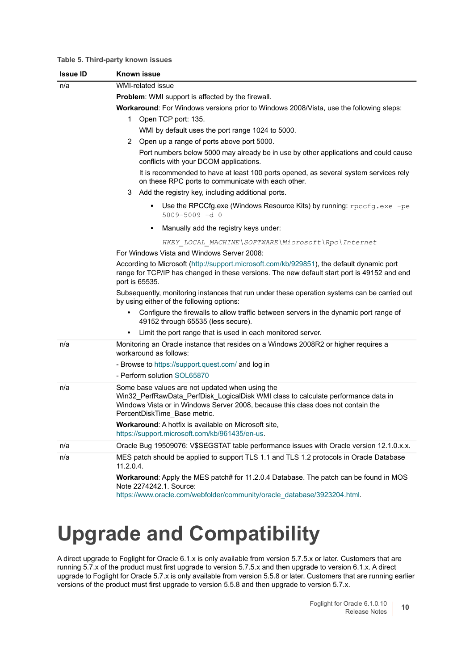#### **Table 5. Third-party known issues**

| <b>Issue ID</b> | <b>Known issue</b>                                                                                                                                                                                         |  |  |  |  |
|-----------------|------------------------------------------------------------------------------------------------------------------------------------------------------------------------------------------------------------|--|--|--|--|
| n/a             | <b>WMI-related issue</b>                                                                                                                                                                                   |  |  |  |  |
|                 | Problem: WMI support is affected by the firewall.                                                                                                                                                          |  |  |  |  |
|                 | Workaround: For Windows versions prior to Windows 2008/Vista, use the following steps:                                                                                                                     |  |  |  |  |
|                 | Open TCP port: 135.<br>1                                                                                                                                                                                   |  |  |  |  |
|                 | WMI by default uses the port range 1024 to 5000.                                                                                                                                                           |  |  |  |  |
|                 | 2 Open up a range of ports above port 5000.                                                                                                                                                                |  |  |  |  |
|                 | Port numbers below 5000 may already be in use by other applications and could cause<br>conflicts with your DCOM applications.                                                                              |  |  |  |  |
|                 | It is recommended to have at least 100 ports opened, as several system services rely<br>on these RPC ports to communicate with each other.                                                                 |  |  |  |  |
|                 | Add the registry key, including additional ports.<br>3                                                                                                                                                     |  |  |  |  |
|                 | Use the RPCCfg.exe (Windows Resource Kits) by running: rpccfg.exe -pe<br>٠<br>$5009 - 5009 - d$ 0                                                                                                          |  |  |  |  |
|                 | Manually add the registry keys under:<br>٠                                                                                                                                                                 |  |  |  |  |
|                 | HKEY LOCAL MACHINE\SOFTWARE\Microsoft\Rpc\Internet                                                                                                                                                         |  |  |  |  |
|                 | For Windows Vista and Windows Server 2008:                                                                                                                                                                 |  |  |  |  |
|                 | According to Microsoft (http://support.microsoft.com/kb/929851), the default dynamic port<br>range for TCP/IP has changed in these versions. The new default start port is 49152 and end<br>port is 65535. |  |  |  |  |
|                 | Subsequently, monitoring instances that run under these operation systems can be carried out<br>by using either of the following options:                                                                  |  |  |  |  |
|                 | Configure the firewalls to allow traffic between servers in the dynamic port range of<br>49152 through 65535 (less secure).                                                                                |  |  |  |  |
|                 | Limit the port range that is used in each monitored server.                                                                                                                                                |  |  |  |  |
| n/a             | Monitoring an Oracle instance that resides on a Windows 2008R2 or higher requires a<br>workaround as follows:<br>- Browse to https://support.quest.com/ and log in                                         |  |  |  |  |
|                 | - Perform solution SOL65870                                                                                                                                                                                |  |  |  |  |
| n/a             | Some base values are not updated when using the                                                                                                                                                            |  |  |  |  |
|                 | Win32 PerfRawData PerfDisk LogicalDisk WMI class to calculate performance data in<br>Windows Vista or in Windows Server 2008, because this class does not contain the<br>PercentDiskTime_Base metric.      |  |  |  |  |
|                 | <b>Workaround:</b> A hotfix is available on Microsoft site<br>https://support.microsoft.com/kb/961435/en-us.                                                                                               |  |  |  |  |
| n/a             | Oracle Bug 19509076: V\$SEGSTAT table performance issues with Oracle version 12.1.0.x.x.                                                                                                                   |  |  |  |  |
| n/a             | MES patch should be applied to support TLS 1.1 and TLS 1.2 protocols in Oracle Database<br>11.2.0.4.                                                                                                       |  |  |  |  |
|                 | Workaround: Apply the MES patch# for 11.2.0.4 Database. The patch can be found in MOS<br>Note 2274242.1. Source:                                                                                           |  |  |  |  |
|                 | https://www.oracle.com/webfolder/community/oracle database/3923204.html.                                                                                                                                   |  |  |  |  |

### <span id="page-9-0"></span>**Upgrade and Compatibility**

A direct upgrade to Foglight for Oracle 6.1.x is only available from version 5.7.5.x or later. Customers that are running 5.7.x of the product must first upgrade to version 5.7.5.x and then upgrade to version 6.1.x. A direct upgrade to Foglight for Oracle 5.7.x is only available from version 5.5.8 or later. Customers that are running earlier versions of the product must first upgrade to version 5.5.8 and then upgrade to version 5.7.x.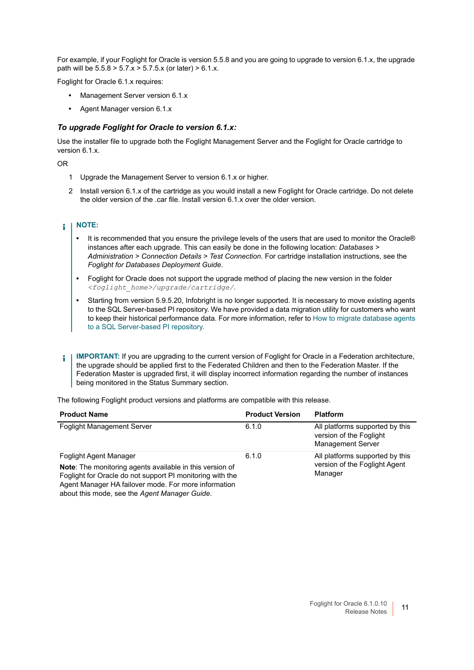For example, if your Foglight for Oracle is version 5.5.8 and you are going to upgrade to version 6.1.x, the upgrade path will be  $5.5.8 > 5.7.x > 5.7.5.x$  (or later)  $> 6.1.x$ .

Foglight for Oracle 6.1.x requires:

- **•** Management Server version 6.1.x
- **•** Agent Manager version 6.1.x

#### *To upgrade Foglight for Oracle to version 6.1.x:*

Use the installer file to upgrade both the Foglight Management Server and the Foglight for Oracle cartridge to version 6.1.x.

#### OR

- 1 Upgrade the Management Server to version 6.1.x or higher.
- 2 Install version 6.1.x of the cartridge as you would install a new Foglight for Oracle cartridge. Do not delete the older version of the .car file. Install version 6.1.x over the older version.

#### $\ddot{\bullet}$ **NOTE:**

- **•** It is recommended that you ensure the privilege levels of the users that are used to monitor the Oracle® instances after each upgrade. This can easily be done in the following location: *Databases > Administration > Connection Details > Test Connection*. For cartridge installation instructions, see the *Foglight for Databases Deployment Guide*.
- **•** Foglight for Oracle does not support the upgrade method of placing the new version in the folder *<foglight\_home>/upgrade/cartridge/*.
- **•** Starting from version 5.9.5.20, Infobright is no longer supported. It is necessary to move existing agents to the SQL Server-based PI repository. We have provided a data migration utility for customers who want to keep their historical performance data. For more information, refer to [How to migrate database agents](https://support.quest.com/foglight-for-databases/kb/313191)  [to a SQL Server-based PI repository.](https://support.quest.com/foglight-for-databases/kb/313191)
- **IMPORTANT:** If you are upgrading to the current version of Foglight for Oracle in a Federation architecture, f the upgrade should be applied first to the Federated Children and then to the Federation Master. If the Federation Master is upgraded first, it will display incorrect information regarding the number of instances being monitored in the Status Summary section.

The following Foglight product versions and platforms are compatible with this release.

| <b>Product Name</b>                                             | <b>Product Version</b> | <b>Platform</b>                                                                        |  |
|-----------------------------------------------------------------|------------------------|----------------------------------------------------------------------------------------|--|
| <b>Foglight Management Server</b>                               | 6.1.0                  | All platforms supported by this<br>version of the Foglight<br><b>Management Server</b> |  |
| Foglight Agent Manager                                          | 6.1.0                  | All platforms supported by this                                                        |  |
| <b>Note:</b> The monitoring agents available in this version of |                        | version of the Foglight Agent<br>Manager                                               |  |
| Foglight for Oracle do not support PI monitoring with the       |                        |                                                                                        |  |
| Agent Manager HA failover mode. For more information            |                        |                                                                                        |  |
| about this mode, see the Agent Manager Guide.                   |                        |                                                                                        |  |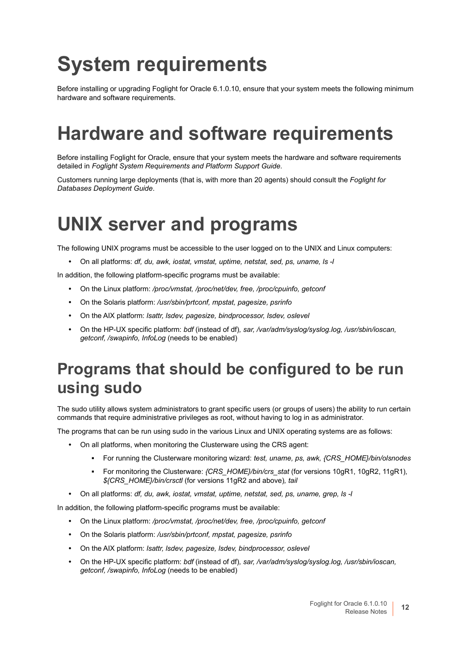# <span id="page-11-0"></span>**System requirements**

Before installing or upgrading Foglight for Oracle 6.1.0.10, ensure that your system meets the following minimum hardware and software requirements.

### **Hardware and software requirements**

Before installing Foglight for Oracle, ensure that your system meets the hardware and software requirements detailed in *Foglight System Requirements and Platform Support Guide*.

Customers running large deployments (that is, with more than 20 agents) should consult the *Foglight for Databases Deployment Guide*.

### **UNIX server and programs**

The following UNIX programs must be accessible to the user logged on to the UNIX and Linux computers:

**•** On all platforms: *df, du, awk, iostat, vmstat, uptime, netstat, sed, ps, uname, ls -l*

In addition, the following platform-specific programs must be available:

- **•** On the Linux platform: */proc/vmstat, /proc/net/dev, free, /proc/cpuinfo, getconf*
- **•** On the Solaris platform: */usr/sbin/prtconf, mpstat, pagesize, psrinfo*
- **•** On the AIX platform: *lsattr, lsdev, pagesize, bindprocessor, lsdev, oslevel*
- **•** On the HP-UX specific platform: *bdf* (instead of df)*, sar, /var/adm/syslog/syslog.log, /usr/sbin/ioscan, getconf, /swapinfo, InfoLog* (needs to be enabled)

#### **Programs that should be configured to be run using sudo**

The sudo utility allows system administrators to grant specific users (or groups of users) the ability to run certain commands that require administrative privileges as root, without having to log in as administrator.

The programs that can be run using sudo in the various Linux and UNIX operating systems are as follows:

- **•** On all platforms, when monitoring the Clusterware using the CRS agent:
	- **▪** For running the Clusterware monitoring wizard: *test, uname, ps, awk, {CRS\_HOME}/bin/olsnodes*
	- **▪** For monitoring the Clusterware: *{CRS\_HOME}/bin/crs\_stat* (for versions 10gR1, 10gR2, 11gR1)*, \${CRS\_HOME}/bin/crsctl* (for versions 11gR2 and above)*, tail*
- **•** On all platforms: *df, du, awk, iostat, vmstat, uptime, netstat, sed, ps, uname, grep, ls -l*

In addition, the following platform-specific programs must be available:

- **•** On the Linux platform: */proc/vmstat, /proc/net/dev, free, /proc/cpuinfo, getconf*
- **•** On the Solaris platform: */usr/sbin/prtconf, mpstat, pagesize, psrinfo*
- **•** On the AIX platform: *lsattr, lsdev, pagesize, lsdev, bindprocessor, oslevel*
- **•** On the HP-UX specific platform: *bdf* (instead of df)*, sar, /var/adm/syslog/syslog.log, /usr/sbin/ioscan, getconf, /swapinfo, InfoLog* (needs to be enabled)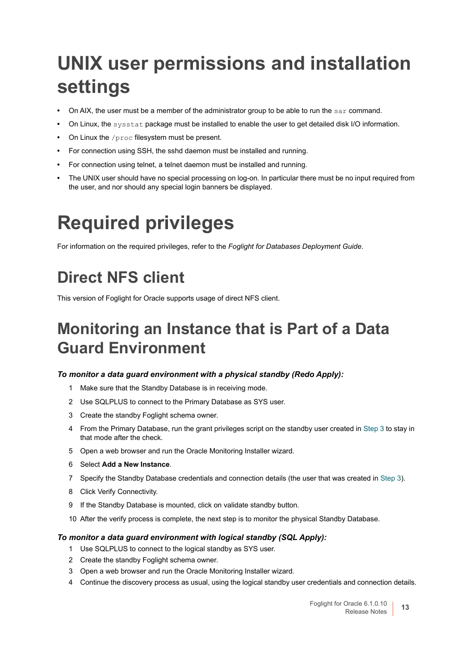## **UNIX user permissions and installation settings**

- **•** On AIX, the user must be a member of the administrator group to be able to run the sar command.
- **•** On Linux, the sysstat package must be installed to enable the user to get detailed disk I/O information.
- **•** On Linux the /proc filesystem must be present.
- **•** For connection using SSH, the sshd daemon must be installed and running.
- **•** For connection using telnet, a telnet daemon must be installed and running.
- **•** The UNIX user should have no special processing on log-on. In particular there must be no input required from the user, and nor should any special login banners be displayed.

### **Required privileges**

For information on the required privileges, refer to the *Foglight for Databases Deployment Guide*.

### **Direct NFS client**

This version of Foglight for Oracle supports usage of direct NFS client.

### **Monitoring an Instance that is Part of a Data Guard Environment**

#### *To monitor a data guard environment with a physical standby (Redo Apply):*

- 1 Make sure that the Standby Database is in receiving mode.
- 2 Use SQLPLUS to connect to the Primary Database as SYS user.
- <span id="page-12-0"></span>3 Create the standby Foglight schema owner.
- 4 From the Primary Database, run the grant privileges script on the standby user created in [Step 3](#page-12-0) to stay in that mode after the check.
- 5 Open a web browser and run the Oracle Monitoring Installer wizard.
- 6 Select **Add a New Instance**.
- 7 Specify the Standby Database credentials and connection details (the user that was created in [Step 3\)](#page-12-0).
- 8 Click Verify Connectivity.
- 9 If the Standby Database is mounted, click on validate standby button.
- 10 After the verify process is complete, the next step is to monitor the physical Standby Database.

#### *To monitor a data guard environment with logical standby (SQL Apply):*

- 1 Use SQLPLUS to connect to the logical standby as SYS user.
- 2 Create the standby Foglight schema owner.
- 3 Open a web browser and run the Oracle Monitoring Installer wizard.
- 4 Continue the discovery process as usual, using the logical standby user credentials and connection details.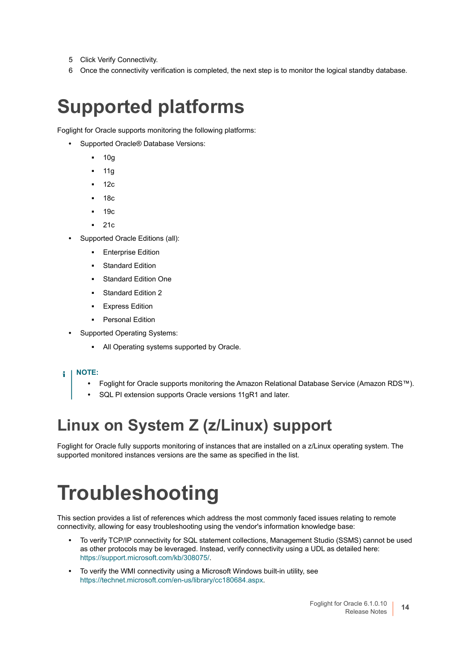- 5 Click Verify Connectivity.
- 6 Once the connectivity verification is completed, the next step is to monitor the logical standby database.

### **Supported platforms**

Foglight for Oracle supports monitoring the following platforms:

- **•** Supported Oracle® Database Versions:
	- **▪** 10g
	- **▪** 11g
	- **▪** 12c
	- **▪** 18c
	- **▪** 19c
	- **▪** 21c
- **•** Supported Oracle Editions (all):
	- **▪** Enterprise Edition
	- **Standard Edition**
	- **Standard Edition One**
	- **▪** Standard Edition 2
	- **▪** Express Edition
	- **▪** Personal Edition
- **•** Supported Operating Systems:
	- **▪** All Operating systems supported by Oracle.

#### **i** | NOTE:

- **•** Foglight for Oracle supports monitoring the Amazon Relational Database Service (Amazon RDS™).
- **•** SQL PI extension supports Oracle versions 11gR1 and later.

### **Linux on System Z (z/Linux) support**

Foglight for Oracle fully supports monitoring of instances that are installed on a z/Linux operating system. The supported monitored instances versions are the same as specified in the list.

# <span id="page-13-0"></span>**Troubleshooting**

This section provides a list of references which address the most commonly faced issues relating to remote connectivity, allowing for easy troubleshooting using the vendor's information knowledge base:

- **•** To verify TCP/IP connectivity for SQL statement collections, Management Studio (SSMS) cannot be used as other protocols may be leveraged. Instead, verify connectivity using a UDL as detailed here: [https://support.microsoft.com/kb/308075/](https://support.microsoft.com/en-us/help/308075).
- **•** To verify the WMI connectivity using a Microsoft Windows built-in utility, see [https://technet.microsoft.com/en-us/library/cc180684.aspx.](https://docs.microsoft.com/en-us/previous-versions/system-center/configuration-manager-2003/cc180684(v=technet.10)?redirectedfrom=MSDN)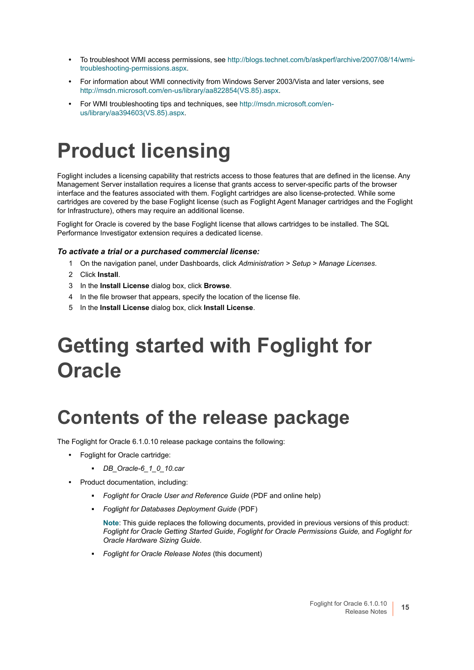- **•** To troubleshoot WMI access permissions, see [http://blogs.technet.com/b/askperf/archive/2007/08/14/wmi](http://blogs.technet.com/b/askperf/archive/2007/08/14/wmi-troubleshooting-permissions.aspx)[troubleshooting-permissions.aspx.](http://blogs.technet.com/b/askperf/archive/2007/08/14/wmi-troubleshooting-permissions.aspx)
- **•** For information about WMI connectivity from Windows Server 2003/Vista and later versions, see [http://msdn.microsoft.com/en-us/library/aa822854\(VS.85\).aspx](http://msdn.microsoft.com/en-us/library/aa822854(VS.85).aspx).
- **•** For WMI troubleshooting tips and techniques, see [http://msdn.microsoft.com/en](http://msdn.microsoft.com/en-us/library/aa394603(VS.85).aspx)[us/library/aa394603\(VS.85\).aspx.](http://msdn.microsoft.com/en-us/library/aa394603(VS.85).aspx)

# <span id="page-14-0"></span>**Product licensing**

Foglight includes a licensing capability that restricts access to those features that are defined in the license. Any Management Server installation requires a license that grants access to server-specific parts of the browser interface and the features associated with them. Foglight cartridges are also license-protected. While some cartridges are covered by the base Foglight license (such as Foglight Agent Manager cartridges and the Foglight for Infrastructure), others may require an additional license.

Foglight for Oracle is covered by the base Foglight license that allows cartridges to be installed. The SQL Performance Investigator extension requires a dedicated license.

#### *To activate a trial or a purchased commercial license:*

- 1 On the navigation panel, under Dashboards, click *Administration > Setup > Manage Licenses*.
- 2 Click **Install**.
- 3 In the **Install License** dialog box, click **Browse**.
- 4 In the file browser that appears, specify the location of the license file.
- 5 In the **Install License** dialog box, click **Install License**.

# <span id="page-14-1"></span>**Getting started with Foglight for Oracle**

### **Contents of the release package**

The Foglight for Oracle 6.1.0.10 release package contains the following:

- **•** Foglight for Oracle cartridge:
	- *▪ DB\_Oracle-6\_1\_0\_10.car*
- **•** Product documentation, including:
	- **▪** *Foglight for Oracle User and Reference Guide* (PDF and online help)
	- **▪** *Foglight for Databases Deployment Guide* (PDF)

**Note**: This guide replaces the following documents, provided in previous versions of this product: *Foglight for Oracle Getting Started Guide*, *Foglight for Oracle Permissions Guide,* and *Foglight for Oracle Hardware Sizing Guide*.

**▪** *Foglight for Oracle Release Notes* (this document)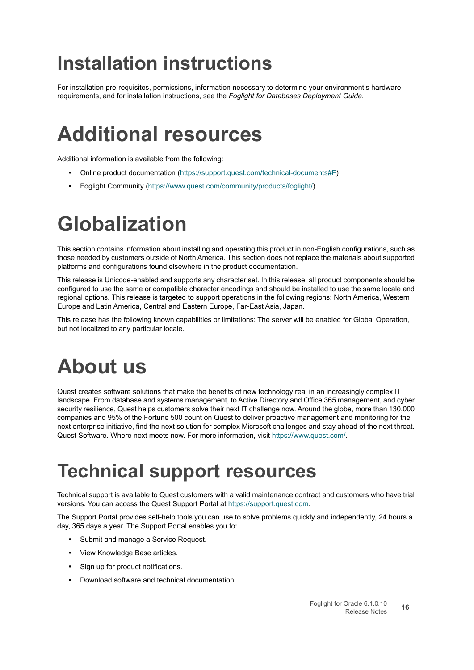### **Installation instructions**

For installation pre-requisites, permissions, information necessary to determine your environment's hardware requirements, and for installation instructions, see the *Foglight for Databases Deployment Guide*.

### **Additional resources**

Additional information is available from the following:

- **•** Online product documentation [\(https://support.quest.com/technical-documents#F](https://support.quest.com/technical-documents#F))
- **•** Foglight Community [\(https://www.quest.com/community/products/foglight/\)](https://www.quest.com/community/foglight)

# **Globalization**

This section contains information about installing and operating this product in non-English configurations, such as those needed by customers outside of North America. This section does not replace the materials about supported platforms and configurations found elsewhere in the product documentation.

This release is Unicode-enabled and supports any character set. In this release, all product components should be configured to use the same or compatible character encodings and should be installed to use the same locale and regional options. This release is targeted to support operations in the following regions: North America, Western Europe and Latin America, Central and Eastern Europe, Far-East Asia, Japan.

This release has the following known capabilities or limitations: The server will be enabled for Global Operation, but not localized to any particular locale.

## <span id="page-15-0"></span>**About us**

Quest creates software solutions that make the benefits of new technology real in an increasingly complex IT landscape. From database and systems management, to Active Directory and Office 365 management, and cyber security resilience, Quest helps customers solve their next IT challenge now. Around the globe, more than 130,000 companies and 95% of the Fortune 500 count on Quest to deliver proactive management and monitoring for the next enterprise initiative, find the next solution for complex Microsoft challenges and stay ahead of the next threat. Quest Software. Where next meets now. For more information, visit <https://www.quest.com/>.

### **Technical support resources**

Technical support is available to Quest customers with a valid maintenance contract and customers who have trial versions. You can access the Quest Support Portal at [https://support.quest.com.](https://support.quest.com)

The Support Portal provides self-help tools you can use to solve problems quickly and independently, 24 hours a day, 365 days a year. The Support Portal enables you to:

- **•** Submit and manage a Service Request.
- **•** View Knowledge Base articles.
- **•** Sign up for product notifications.
- **•** Download software and technical documentation.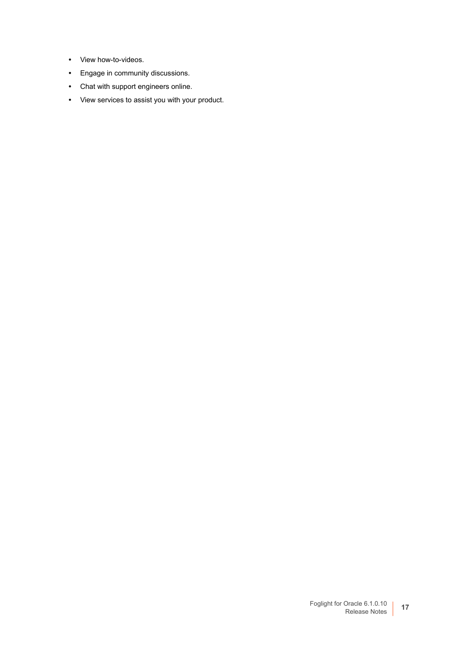- **•** View how-to-videos.
- **•** Engage in community discussions.
- **•** Chat with support engineers online.
- **•** View services to assist you with your product.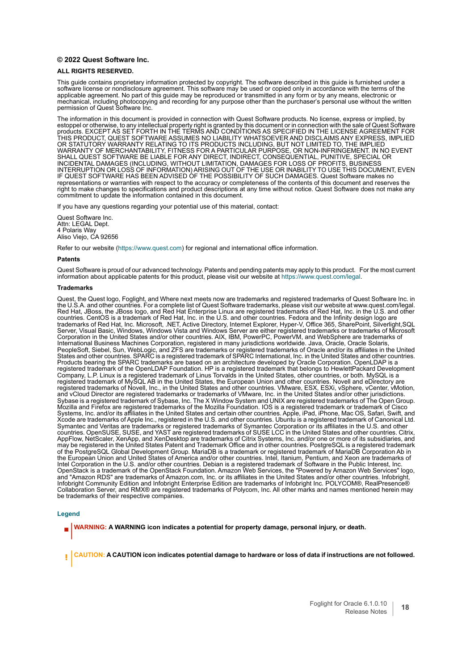#### **© 2022 Quest Software Inc.**

#### **ALL RIGHTS RESERVED.**

This guide contains proprietary information protected by copyright. The software described in this guide is furnished under a software license or nondisclosure agreement. This software may be used or copied only in accordance with the terms of the applicable agreement. No part of this guide may be reproduced or transmitted in any form or by any means, electronic or mechanical, including photocopying and recording for any purpose other than the purchaser's personal use without the written permission of Quest Software Inc.

The information in this document is provided in connection with Quest Software products. No license, express or implied, by estoppel or otherwise, to any intellectual property right is granted by this document or in connection with the sale of Quest Software products. EXCEPT AS SET FORTH IN THE TERMS AND CONDITIONS AS SPECIFIED IN THE LICENSE AGREEMENT FOR THIS PRODUCT, QUEST SOFTWARE ASSUMES NO LIABILITY WHATSOEVER AND DISCLAIMS ANY EXPRESS, IMPLIED OR STATUTORY WARRANTY RELATING TO ITS PRODUCTS INCLUDING, BUT NOT LIMITED TO, THE IMPLIED WARRANTY OF MERCHANTABILITY, FITNESS FOR A PARTICULAR PURPOSE, OR NON-INFRINGEMENT. IN NO EVENT SHALL QUEST SOFTWARE BE LIABLE FOR ANY DIRECT, INDIRECT, CONSEQUENTIAL, PUNITIVE, SPECIAL OR INCIDENTAL DAMAGES (INCLUDING, WITHOUT LIMITATION, DAMAGES FOR LOSS OF PROFITS, BUSINESS INTERRUPTION OR LOSS OF INFORMATION) ARISING OUT OF THE USE OR INABILITY TO USE THIS DOCUMENT, EVEN IF QUEST SOFTWARE HAS BEEN ADVISED OF THE POSSIBILITY OF SUCH DAMAGES. Quest Software makes no representations or warranties with respect to the accuracy or completeness of the contents of this document and reserves the right to make changes to specifications and product descriptions at any time without notice. Quest Software does not make any commitment to update the information contained in this document.

If you have any questions regarding your potential use of this material, contact:

Quest Software Inc. Attn: LEGAL Dept. 4 Polaris Way Aliso Viejo, CA 92656

Refer to our website [\(https://www.quest.com](https://www.quest.com)) for regional and international office information.

#### **Patents**

Quest Software is proud of our advanced technology. Patents and pending patents may apply to this product. For the most current information about applicable patents for this product, please visit our website at [https://www.quest.com/legal.](https://www.quest.com/legal)

#### **Trademarks**

Quest, the Quest logo, Foglight, and Where next meets now are trademarks and registered trademarks of Quest Software Inc. in the U.S.A. and other countries. For a complete list of Quest Software trademarks, please visit our website at www.quest.com/legal. Red Hat, JBoss, the JBoss logo, and Red Hat Enterprise Linux are registered trademarks of Red Hat, Inc. in the U.S. and other countries. CentOS is a trademark of Red Hat, Inc. in the U.S. and other countries. Fedora and the Infinity design logo are trademarks of Red Hat, Inc. Microsoft, .NET, Active Directory, Internet Explorer, Hyper-V, Office 365, SharePoint, Silverlight,SQL Server, Visual Basic, Windows, Windows Vista and Windows Server are either registered trademarks or trademarks of Microsoft Corporation in the United States and/or other countries. AIX, IBM, PowerPC, PowerVM, and WebSphere are trademarks of International Business Machines Corporation, registered in many jurisdictions worldwide. Java, Oracle, Oracle Solaris, PeopleSoft, Siebel, Sun, WebLogic, and ZFS are trademarks or registered trademarks of Oracle and/or its affiliates in the United States and other countries. SPARC is a registered trademark of SPARC International, Inc. in the United States and other countries. Products bearing the SPARC trademarks are based on an architecture developed by Oracle Corporation. OpenLDAP is a registered trademark of the OpenLDAP Foundation. HP is a registered trademark that belongs to HewlettPackard Development Company, L.P. Linux is a registered trademark of Linus Torvalds in the United States, other countries, or both. MySQL is a registered trademark of MySQL AB in the United States, the European Union and other countries. Novell and eDirectory are registered trademarks of Novell, Inc., in the United States and other countries. VMware, ESX, ESXi, vSphere, vCenter, vMotion, and vCloud Director are registered trademarks or trademarks of VMware, Inc. in the United States and/or other jurisdictions. Sybase is a registered trademark of Sybase, Inc. The X Window System and UNIX are registered trademarks of The Open Group. Mozilla and Firefox are registered trademarks of the Mozilla Foundation. IOS is a registered trademark or trademark of Cisco Systems, Inc. and/or its affiliates in the United States and certain other countries. Apple, iPad, iPhone, Mac OS, Safari, Swift, and Xcode are trademarks of Apple Inc., registered in the U.S. and other countries. Ubuntu is a registered trademark of Canonical Ltd. Symantec and Veritas are trademarks or registered trademarks of Symantec Corporation or its affiliates in the U.S. and other countries. OpenSUSE, SUSE, and YAST are registered trademarks of SUSE LCC in the United States and other countries. Citrix, AppFlow, NetScaler, XenApp, and XenDesktop are trademarks of Citrix Systems, Inc. and/or one or more of its subsidiaries, and may be registered in the United States Patent and Trademark Office and in other countries. PostgreSQL is a registered trademark of the PostgreSQL Global Development Group. MariaDB is a trademark or registered trademark of MariaDB Corporation Ab in the European Union and United States of America and/or other countries. Intel, Itanium, Pentium, and Xeon are trademarks of Intel Corporation in the U.S. and/or other countries. Debian is a registered trademark of Software in the Public Interest, Inc. OpenStack is a trademark of the OpenStack Foundation. Amazon Web Services, the "Powered by Amazon Web Services" logo, and "Amazon RDS" are trademarks of Amazon.com, Inc. or its affiliates in the United States and/or other countries. Infobright, Infobright Community Edition and Infobright Enterprise Edition are trademarks of Infobright Inc. POLYCOM®, RealPresence® Collaboration Server, and RMX® are registered trademarks of Polycom, Inc. All other marks and names mentioned herein may be trademarks of their respective companies.

#### **Legend**

**WARNING: A WARNING icon indicates a potential for property damage, personal injury, or death.**

**CAUTION: A CAUTION icon indicates potential damage to hardware or loss of data if instructions are not followed.**